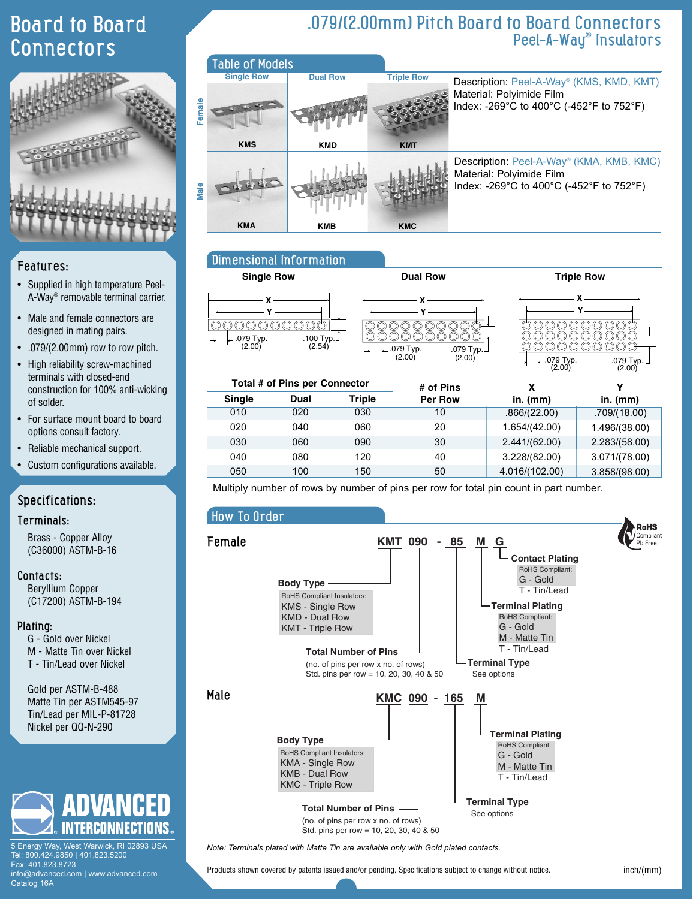### Board to Board **Connectors**



# **Female Male**

# **KMS KMD KMA KMB** Dimensional Information

Table of Models

**Single Row Dual Row** 

#### **Single Row <b>Dual Row Dual Row Triple Row X X Y Y** 000000000  $\circ\circ\circ$ .079 Typ. .100 Typ.  $(2.00)$  $(2.54)$ .079 Typ.





Description: Peel-A-Way® (KMS, KMD, KMT)

Description: Peel-A-Way® (KMA, KMB, KMC)

Index: -269°C to 400°C (-452°F to 752°F)

Index: -269°C to 400°C (-452°F to 752°F)

| Total # of Pins per Connector |      |               | # of Pins      |                | v             |  |
|-------------------------------|------|---------------|----------------|----------------|---------------|--|
| <b>Single</b>                 | Dual | <b>Triple</b> | <b>Per Row</b> | in. $(mm)$     | in. $(mm)$    |  |
| 010                           | 020  | 030           | 10             | .866/(22.00)   | .709/(18.00)  |  |
| 020                           | 040  | 060           | 20             | 1.654/(42.00)  | 1.496/(38.00) |  |
| 030                           | 060  | 090           | 30             | 2.441/(62.00)  | 2.283/(58.00) |  |
| 040                           | 080  | 120           | 40             | 3.228/(82.00)  | 3.071/(78.00) |  |
| 050                           | 100  | 150           | 50             | 4.016/(102.00) | 3.858/(98.00) |  |

Multiply number of rows by number of pins per row for total pin count in part number.

**Triple Row**

**KMT**

**KMC**

#### How To Order



Std. pins per row = 10, 20, 30, 40 & 50

*Note: Terminals plated with Matte Tin are available only with Gold plated contacts.*

Products shown covered by patents issued and/or pending. Specifications subject to change without notice.

#### inch/(mm)

#### Features:

- Supplied in high temperature Peel-A-Way® removable terminal carrier.
- Male and female connectors are designed in mating pairs.
- $.079/(2.00$ mm) row to row pitch.
- High reliability screw-machined terminals with closed-end construction for 100% anti-wicking of solder.
- For surface mount board to board options consult factory.
- Reliable mechanical support.

• Custom configurations available.

#### Specifications:

#### Terminals:

Brass - Copper Alloy (C36000) ASTM-B-16

#### Contacts:

Beryllium Copper (C17200) ASTM-B-194

#### Plating:

Catalog 16A

- G Gold over Nickel
- M Matte Tin over Nickel
- T Tin/Lead over Nickel

Gold per ASTM-B-488 Matte Tin per ASTM545-97 Tin/Lead per MIL-P-81728 Nickel per QQ-N-290



5 Energy Way, West Warwick, RI 02893 USA Tel: 800.424.9850 | 401.823.5200 Fax: 401.823.8723 info@advanced.com | www.advanced.com

.079/(2.00mm) Pitch Board to Board Connectors Peel-A-Way® Insulators

Material: Polyimide Film

Material: Polyimide Film